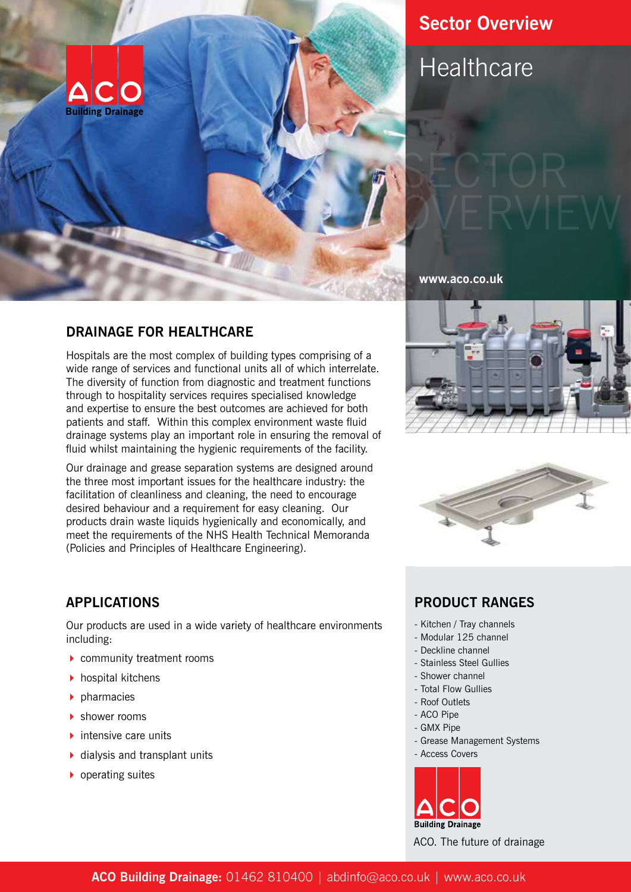

## **DRAINAGE FOR HEALTHCARE**

Hospitals are the most complex of building types comprising of a wide range of services and functional units all of which interrelate. The diversity of function from diagnostic and treatment functions through to hospitality services requires specialised knowledge and expertise to ensure the best outcomes are achieved for both patients and staff. Within this complex environment waste fluid drainage systems play an important role in ensuring the removal of fluid whilst maintaining the hygienic requirements of the facility.

Our drainage and grease separation systems are designed around the three most important issues for the healthcare industry: the facilitation of cleanliness and cleaning, the need to encourage desired behaviour and a requirement for easy cleaning. Our products drain waste liquids hygienically and economically, and meet the requirements of the NHS Health Technical Memoranda (Policies and Principles of Healthcare Engineering).

## **Sector Overview**

# **Healthcare**

**www.aco.co.uk**





## **APPLICATIONS**

Our products are used in a wide variety of healthcare environments including:

- ▶ community treatment rooms
- $\blacktriangleright$  hospital kitchens
- 4 pharmacies
- 4 shower rooms
- $\blacktriangleright$  intensive care units
- $\blacktriangleright$  dialysis and transplant units
- $\rightarrow$  operating suites

## **PRODUCT RANGES**

- Kitchen / Tray channels
- Modular 125 channel
- Deckline channel
- Stainless Steel Gullies
- Shower channel
- Total Flow Gullies
- Roof Outlets
- ACO Pipe
- GMX Pipe
- Grease Management Systems
- Access Covers



ACO. The future of drainage